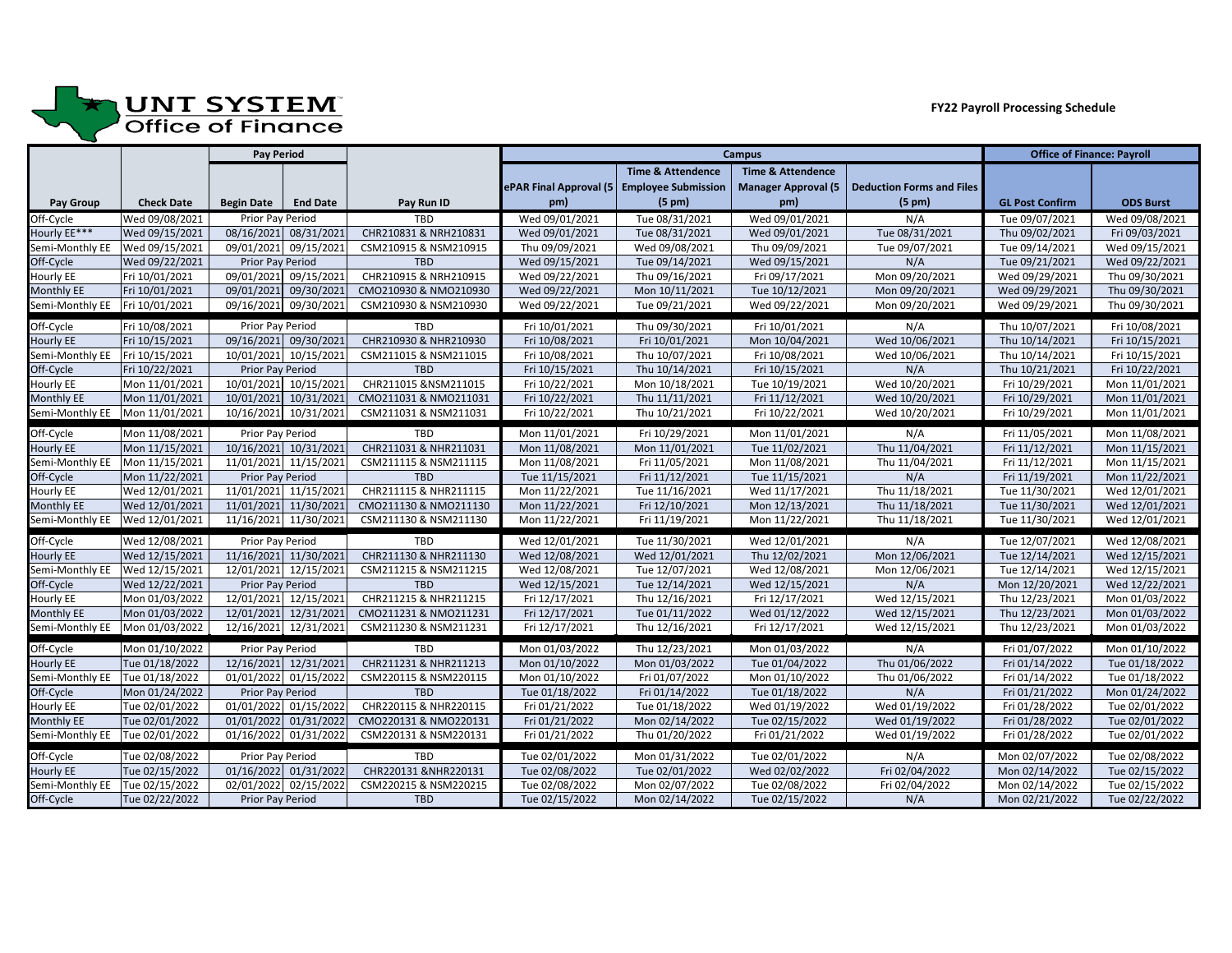

## **JUNT SYSTEM**<br>Office of Finance

|                                  |                   | <b>Pay Period</b> |                       |                       | <b>Campus</b>          |                              |                              |                                  | <b>Office of Finance: Payroll</b> |                  |
|----------------------------------|-------------------|-------------------|-----------------------|-----------------------|------------------------|------------------------------|------------------------------|----------------------------------|-----------------------------------|------------------|
|                                  |                   |                   |                       |                       |                        | <b>Time &amp; Attendence</b> | <b>Time &amp; Attendence</b> |                                  |                                   |                  |
|                                  |                   |                   |                       |                       | ePAR Final Approval (5 | <b>Employee Submission</b>   | <b>Manager Approval (5</b>   | <b>Deduction Forms and Files</b> |                                   |                  |
| <b>Pay Group</b>                 | <b>Check Date</b> | <b>Begin Date</b> | <b>End Date</b>       | Pay Run ID            | pm)                    | $(5 \text{ pm})$             | pm)                          | $(5 \text{ pm})$                 | <b>GL Post Confirm</b>            | <b>ODS Burst</b> |
| Off-Cycle                        | Wed 09/08/2021    | Prior Pay Period  |                       | <b>TBD</b>            | Wed 09/01/2021         | Tue 08/31/2021               | Wed 09/01/2021               | N/A                              | Tue 09/07/2021                    | Wed 09/08/2021   |
| Hourly EE***                     | Wed 09/15/2021    |                   | 08/16/2021 08/31/2021 | CHR210831 & NRH210831 | Wed 09/01/2021         | Tue 08/31/2021               | Wed 09/01/2021               | Tue 08/31/2021                   | Thu 09/02/2021                    | Fri 09/03/2021   |
| Semi-Monthly EE                  | Wed 09/15/2021    |                   | 09/01/2021 09/15/2021 | CSM210915 & NSM210915 | Thu 09/09/2021         | Wed 09/08/2021               | Thu 09/09/2021               | Tue 09/07/2021                   | Tue 09/14/2021                    | Wed 09/15/2021   |
| Off-Cycle                        | Wed 09/22/2021    | Prior Pay Period  |                       | <b>TBD</b>            | Wed 09/15/2021         | Tue 09/14/2021               | Wed 09/15/2021               | N/A                              | Tue 09/21/2021                    | Wed 09/22/2021   |
| <b>Hourly EE</b>                 | Fri 10/01/2021    | 09/01/2021        | 09/15/2021            | CHR210915 & NRH210915 | Wed 09/22/2021         | Thu 09/16/2021               | Fri 09/17/2021               | Mon 09/20/2021                   | Wed 09/29/2021                    | Thu 09/30/2021   |
| <b>Monthly EE</b>                | Fri 10/01/2021    | 09/01/2021        | 09/30/2021            | CMO210930 & NMO210930 | Wed 09/22/2021         | Mon 10/11/2021               | Tue 10/12/2021               | Mon 09/20/2021                   | Wed 09/29/2021                    | Thu 09/30/2021   |
| Semi-Monthly EE                  | Fri 10/01/2021    |                   | 09/16/2021 09/30/2021 | CSM210930 & NSM210930 | Wed 09/22/2021         | Tue 09/21/2021               | Wed 09/22/2021               | Mon 09/20/2021                   | Wed 09/29/2021                    | Thu 09/30/2021   |
| Off-Cycle                        | Fri 10/08/2021    | Prior Pay Period  |                       | <b>TBD</b>            | Fri 10/01/2021         | Thu 09/30/2021               | Fri 10/01/2021               | N/A                              | Thu 10/07/2021                    | Fri 10/08/2021   |
| <b>Hourly EE</b>                 | Fri 10/15/2021    |                   | 09/16/2021 09/30/2021 | CHR210930 & NHR210930 | Fri 10/08/2021         | Fri 10/01/2021               | Mon 10/04/2021               | Wed 10/06/2021                   | Thu 10/14/2021                    | Fri 10/15/2021   |
| Semi-Monthly EE                  | Fri 10/15/2021    |                   | 10/01/2021 10/15/2021 | CSM211015 & NSM211015 | Fri 10/08/2021         | Thu 10/07/2021               | Fri 10/08/2021               | Wed 10/06/2021                   | Thu 10/14/2021                    | Fri 10/15/2021   |
| Off-Cycle                        | Fri 10/22/2021    | Prior Pay Period  |                       | <b>TBD</b>            | Fri 10/15/2021         | Thu 10/14/2021               | Fri 10/15/2021               | N/A                              | Thu 10/21/2021                    | Fri 10/22/2021   |
| <b>Hourly EE</b>                 | Mon 11/01/2021    | 10/01/2021        | 10/15/2021            | CHR211015 &NSM211015  | Fri 10/22/2021         | Mon 10/18/2021               | Tue 10/19/2021               | Wed 10/20/2021                   | Fri 10/29/2021                    | Mon 11/01/2021   |
| <b>Monthly EE</b>                | Mon 11/01/2021    | 10/01/2021        | 10/31/2021            | CM0211031 & NM0211031 | Fri 10/22/2021         | Thu 11/11/2021               | Fri 11/12/2021               | Wed 10/20/2021                   | Fri 10/29/2021                    | Mon 11/01/2021   |
| Semi-Monthly EE                  | Mon 11/01/2021    |                   | 10/16/2021 10/31/2021 | CSM211031 & NSM211031 | Fri 10/22/2021         | Thu 10/21/2021               | Fri 10/22/2021               | Wed 10/20/2021                   | Fri 10/29/2021                    | Mon 11/01/2021   |
| Off-Cycle                        | Mon 11/08/2021    | Prior Pay Period  |                       | <b>TBD</b>            | Mon 11/01/2021         | Fri 10/29/2021               | Mon 11/01/2021               | N/A                              | Fri 11/05/2021                    | Mon 11/08/2021   |
| <b>Hourly EE</b>                 | Mon 11/15/2021    |                   | 10/16/2021 10/31/2021 | CHR211031 & NHR211031 | Mon 11/08/2021         | Mon 11/01/2021               | Tue 11/02/2021               | Thu 11/04/2021                   | Fri 11/12/2021                    | Mon 11/15/2021   |
| Semi-Monthly EE                  | Mon 11/15/2021    |                   | 11/01/2021 11/15/2021 | CSM211115 & NSM211115 | Mon 11/08/2021         | Fri 11/05/2021               | Mon 11/08/2021               | Thu 11/04/2021                   | Fri 11/12/2021                    | Mon 11/15/2021   |
| Off-Cycle                        | Mon 11/22/2021    | Prior Pay Period  |                       | <b>TBD</b>            | Tue 11/15/2021         | Fri 11/12/2021               | Tue 11/15/2021               | N/A                              | Fri 11/19/2021                    | Mon 11/22/2021   |
| <b>Hourly EE</b>                 | Wed 12/01/2021    |                   | 11/01/2021 11/15/2021 | CHR211115 & NHR211115 | Mon 11/22/2021         | Tue 11/16/2021               | Wed 11/17/2021               | Thu 11/18/2021                   | Tue 11/30/2021                    | Wed 12/01/2021   |
| <b>Monthly EE</b>                | Wed 12/01/2021    |                   | 11/01/2021 11/30/2021 | CMO211130 & NMO211130 | Mon 11/22/2021         | Fri 12/10/2021               | Mon 12/13/2021               | Thu 11/18/2021                   | Tue 11/30/2021                    | Wed 12/01/2021   |
| Semi-Monthly EE                  | Wed 12/01/2021    |                   | 11/16/2021 11/30/2021 | CSM211130 & NSM211130 | Mon 11/22/2021         | Fri 11/19/2021               | Mon 11/22/2021               | Thu 11/18/2021                   | Tue 11/30/2021                    | Wed 12/01/2021   |
| Off-Cycle                        | Wed 12/08/2021    | Prior Pay Period  |                       | <b>TBD</b>            | Wed 12/01/2021         | Tue 11/30/2021               | Wed 12/01/2021               | N/A                              | Tue 12/07/2021                    | Wed 12/08/2021   |
| <b>Hourly EE</b>                 | Wed 12/15/2021    |                   | 11/16/2021 11/30/2021 | CHR211130 & NHR211130 | Wed 12/08/2021         | Wed 12/01/2021               | Thu 12/02/2021               | Mon 12/06/2021                   | Tue 12/14/2021                    | Wed 12/15/2021   |
| Semi-Monthly EE   Wed 12/15/2021 |                   |                   | 12/01/2021 12/15/2021 | CSM211215 & NSM211215 | Wed 12/08/2021         | Tue 12/07/2021               | Wed 12/08/2021               | Mon 12/06/2021                   | Tue 12/14/2021                    | Wed 12/15/2021   |
| Off-Cycle                        | Wed 12/22/2021    | Prior Pay Period  |                       | <b>TBD</b>            | Wed 12/15/2021         | Tue 12/14/2021               | Wed 12/15/2021               | N/A                              | Mon 12/20/2021                    | Wed 12/22/2021   |
| <b>Hourly EE</b>                 | Mon 01/03/2022    |                   | 12/01/2021 12/15/2021 | CHR211215 & NHR211215 | Fri 12/17/2021         | Thu 12/16/2021               | Fri 12/17/2021               | Wed 12/15/2021                   | Thu 12/23/2021                    | Mon 01/03/2022   |
| Monthly EE                       | Mon 01/03/2022    |                   | 12/01/2021 12/31/2021 | CM0211231 & NM0211231 | Fri 12/17/2021         | Tue 01/11/2022               | Wed 01/12/2022               | Wed 12/15/2021                   | Thu 12/23/2021                    | Mon 01/03/2022   |
| Semi-Monthly EE                  | Mon 01/03/2022    |                   | 12/16/2021 12/31/2021 | CSM211230 & NSM211231 | Fri 12/17/2021         | Thu 12/16/2021               | Fri 12/17/2021               | Wed 12/15/2021                   | Thu 12/23/2021                    | Mon 01/03/2022   |
| Off-Cycle                        | Mon 01/10/2022    | Prior Pay Period  |                       | <b>TBD</b>            | Mon 01/03/2022         | Thu 12/23/2021               | Mon 01/03/2022               | N/A                              | Fri 01/07/2022                    | Mon 01/10/2022   |
| <b>Hourly EE</b>                 | Tue 01/18/2022    |                   | 12/16/2021 12/31/2021 | CHR211231 & NHR211213 | Mon 01/10/2022         | Mon 01/03/2022               | Tue 01/04/2022               | Thu 01/06/2022                   | Fri 01/14/2022                    | Tue 01/18/2022   |
| Semi-Monthly EE                  | Tue 01/18/2022    |                   | 01/01/2022 01/15/2022 | CSM220115 & NSM220115 | Mon 01/10/2022         | Fri 01/07/2022               | Mon 01/10/2022               | Thu 01/06/2022                   | Fri 01/14/2022                    | Tue 01/18/2022   |
| Off-Cycle                        | Mon 01/24/2022    | Prior Pay Period  |                       | <b>TBD</b>            | Tue 01/18/2022         | Fri 01/14/2022               | Tue 01/18/2022               | N/A                              | Fri 01/21/2022                    | Mon 01/24/2022   |
| <b>Hourly EE</b>                 | Tue 02/01/2022    | 01/01/2022        | 01/15/2022            | CHR220115 & NHR220115 | Fri 01/21/2022         | Tue 01/18/2022               | Wed 01/19/2022               | Wed 01/19/2022                   | Fri 01/28/2022                    | Tue 02/01/2022   |
| Monthly EE                       | Tue 02/01/2022    |                   | 01/01/2022 01/31/2022 | CMO220131 & NMO220131 | Fri 01/21/2022         | Mon 02/14/2022               | Tue 02/15/2022               | Wed 01/19/2022                   | Fri 01/28/2022                    | Tue 02/01/2022   |
| Semi-Monthly EE                  | Tue 02/01/2022    |                   | 01/16/2022 01/31/2022 | CSM220131 & NSM220131 | Fri 01/21/2022         | Thu 01/20/2022               | Fri 01/21/2022               | Wed 01/19/2022                   | Fri 01/28/2022                    | Tue 02/01/2022   |
| Off-Cycle                        | Tue 02/08/2022    | Prior Pay Period  |                       | <b>TBD</b>            | Tue 02/01/2022         | Mon 01/31/2022               | Tue 02/01/2022               | N/A                              | Mon 02/07/2022                    | Tue 02/08/2022   |
| <b>Hourly EE</b>                 | Tue 02/15/2022    |                   | 01/16/2022 01/31/2022 | CHR220131 &NHR220131  | Tue 02/08/2022         | Tue 02/01/2022               | Wed 02/02/2022               | Fri 02/04/2022                   | Mon 02/14/2022                    | Tue 02/15/2022   |
| Semi-Monthly EE                  | Tue 02/15/2022    |                   | 02/01/2022 02/15/2022 | CSM220215 & NSM220215 | Tue 02/08/2022         | Mon 02/07/2022               | Tue 02/08/2022               | Fri 02/04/2022                   | Mon 02/14/2022                    | Tue 02/15/2022   |
| Off-Cycle                        | Tue 02/22/2022    | Prior Pay Period  |                       | TBD                   | Tue 02/15/2022         | Mon 02/14/2022               | Tue 02/15/2022               | N/A                              | Mon 02/21/2022                    | Tue 02/22/2022   |

## **FY22 Payroll Processing Schedule**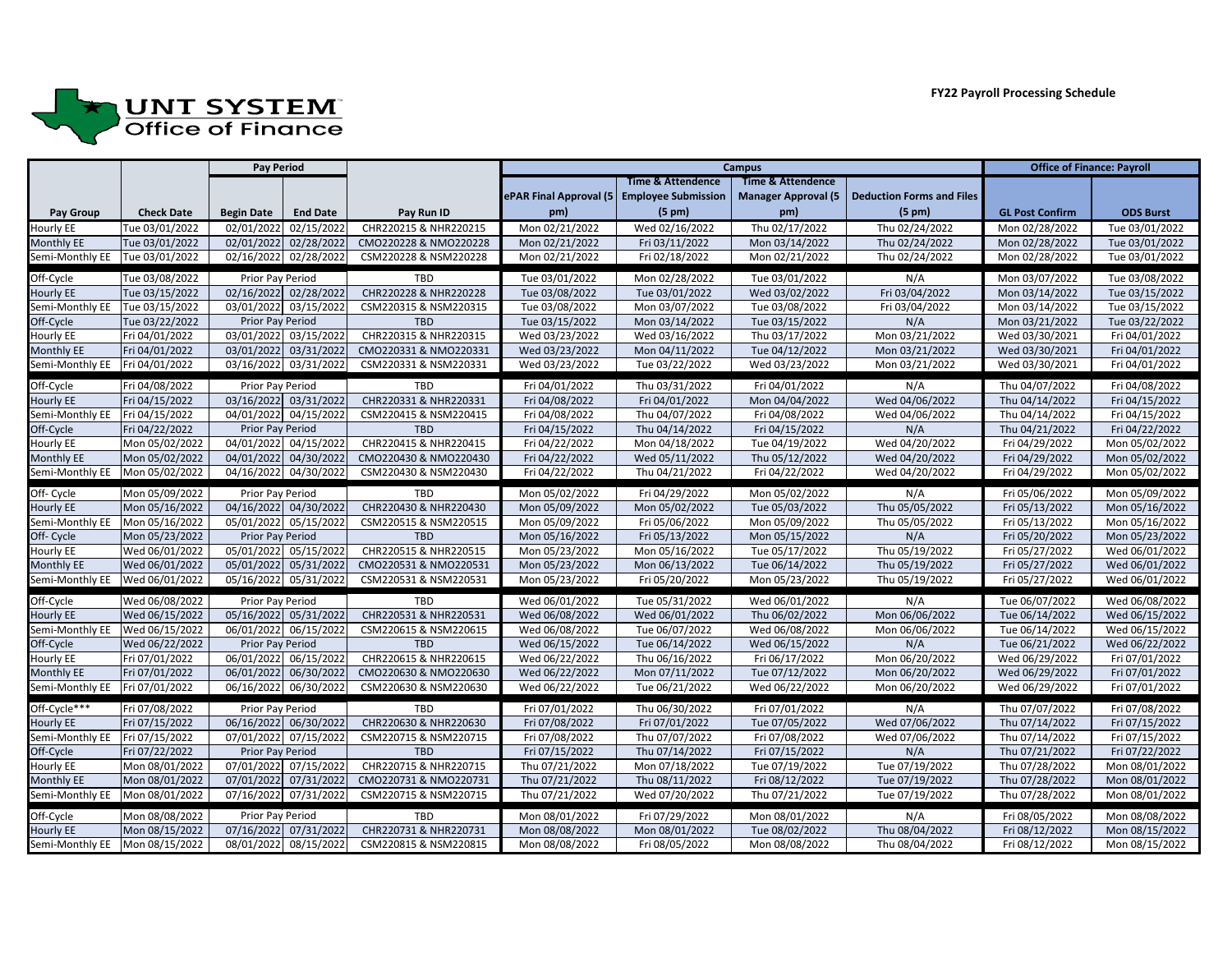

|                   | <b>Pay Period</b> |                   |                       | <b>Campus</b>         |                         |                              |                              | <b>Office of Finance: Payroll</b> |                        |                  |
|-------------------|-------------------|-------------------|-----------------------|-----------------------|-------------------------|------------------------------|------------------------------|-----------------------------------|------------------------|------------------|
|                   |                   |                   |                       |                       |                         | <b>Time &amp; Attendence</b> | <b>Time &amp; Attendence</b> |                                   |                        |                  |
|                   |                   |                   |                       |                       | ePAR Final Approval (5) | <b>Employee Submission</b>   | <b>Manager Approval (5</b>   | <b>Deduction Forms and Files</b>  |                        |                  |
| <b>Pay Group</b>  | <b>Check Date</b> | <b>Begin Date</b> | <b>End Date</b>       | Pay Run ID            | pm)                     | $(5 \text{ pm})$             | pm)                          | $(5 \text{ pm})$                  | <b>GL Post Confirm</b> | <b>ODS Burst</b> |
| <b>Hourly EE</b>  | Tue 03/01/2022    | 02/01/2022        | 02/15/2022            | CHR220215 & NHR220215 | Mon 02/21/2022          | Wed 02/16/2022               | Thu 02/17/2022               | Thu 02/24/2022                    | Mon 02/28/2022         | Tue 03/01/2022   |
| <b>Monthly EE</b> | Tue 03/01/2022    |                   | 02/01/2022 02/28/2022 | CMO220228 & NMO220228 | Mon 02/21/2022          | Fri 03/11/2022               | Mon 03/14/2022               | Thu 02/24/2022                    | Mon 02/28/2022         | Tue 03/01/2022   |
| Semi-Monthly EE   | Tue 03/01/2022    |                   | 02/16/2022 02/28/2022 | CSM220228 & NSM220228 | Mon 02/21/2022          | Fri 02/18/2022               | Mon 02/21/2022               | Thu 02/24/2022                    | Mon 02/28/2022         | Tue 03/01/2022   |
| Off-Cycle         | Tue 03/08/2022    | Prior Pay Period  |                       | <b>TBD</b>            | Tue 03/01/2022          | Mon 02/28/2022               | Tue 03/01/2022               | N/A                               | Mon 03/07/2022         | Tue 03/08/2022   |
| <b>Hourly EE</b>  | Tue 03/15/2022    |                   | 02/16/2022 02/28/2022 | CHR220228 & NHR220228 | Tue 03/08/2022          | Tue 03/01/2022               | Wed 03/02/2022               | Fri 03/04/2022                    | Mon 03/14/2022         | Tue 03/15/2022   |
| Semi-Monthly EE   | Tue 03/15/2022    |                   | 03/01/2022 03/15/2022 | CSM220315 & NSM220315 | Tue 03/08/2022          | Mon 03/07/2022               | Tue 03/08/2022               | Fri 03/04/2022                    | Mon 03/14/2022         | Tue 03/15/2022   |
| Off-Cycle         | Tue 03/22/2022    | Prior Pay Period  |                       | <b>TBD</b>            | Tue 03/15/2022          | Mon 03/14/2022               | Tue 03/15/2022               | N/A                               | Mon 03/21/2022         | Tue 03/22/2022   |
| <b>Hourly EE</b>  | Fri 04/01/2022    |                   | 03/01/2022 03/15/2022 | CHR220315 & NHR220315 | Wed 03/23/2022          | Wed 03/16/2022               | Thu 03/17/2022               | Mon 03/21/2022                    | Wed 03/30/2021         | Fri 04/01/2022   |
| <b>Monthly EE</b> | Fri 04/01/2022    |                   | 03/01/2022 03/31/2022 | CMO220331 & NMO220331 | Wed 03/23/2022          | Mon 04/11/2022               | Tue 04/12/2022               | Mon 03/21/2022                    | Wed 03/30/2021         | Fri 04/01/2022   |
| Semi-Monthly EE   | Fri 04/01/2022    |                   | 03/16/2022 03/31/2022 | CSM220331 & NSM220331 | Wed 03/23/2022          | Tue 03/22/2022               | Wed 03/23/2022               | Mon 03/21/2022                    | Wed 03/30/2021         | Fri 04/01/2022   |
| Off-Cycle         | Fri 04/08/2022    | Prior Pay Period  |                       | <b>TBD</b>            | Fri 04/01/2022          | Thu 03/31/2022               | Fri 04/01/2022               | N/A                               | Thu 04/07/2022         | Fri 04/08/2022   |
| <b>Hourly EE</b>  | Fri 04/15/2022    |                   | 03/16/2022 03/31/2022 | CHR220331 & NHR220331 | Fri 04/08/2022          | Fri 04/01/2022               | Mon 04/04/2022               | Wed 04/06/2022                    | Thu 04/14/2022         | Fri 04/15/2022   |
| Semi-Monthly EE   | Fri 04/15/2022    |                   | 04/01/2022 04/15/2022 | CSM220415 & NSM220415 | Fri 04/08/2022          | Thu 04/07/2022               | Fri 04/08/2022               | Wed 04/06/2022                    | Thu 04/14/2022         | Fri 04/15/2022   |
| Off-Cycle         | Fri 04/22/2022    | Prior Pay Period  |                       | <b>TBD</b>            | Fri 04/15/2022          | Thu 04/14/2022               | Fri 04/15/2022               | N/A                               | Thu 04/21/2022         | Fri 04/22/2022   |
| <b>Hourly EE</b>  | Mon 05/02/2022    |                   | 04/01/2022 04/15/2022 | CHR220415 & NHR220415 | Fri 04/22/2022          | Mon 04/18/2022               | Tue 04/19/2022               | Wed 04/20/2022                    | Fri 04/29/2022         | Mon 05/02/2022   |
| <b>Monthly EE</b> | Mon 05/02/2022    |                   | 04/01/2022 04/30/2022 | CMO220430 & NMO220430 | Fri 04/22/2022          | Wed 05/11/2022               | Thu 05/12/2022               | Wed 04/20/2022                    | Fri 04/29/2022         | Mon 05/02/2022   |
| Semi-Monthly EE   | Mon 05/02/2022    |                   | 04/16/2022 04/30/2022 | CSM220430 & NSM220430 | Fri 04/22/2022          | Thu 04/21/2022               | Fri 04/22/2022               | Wed 04/20/2022                    | Fri 04/29/2022         | Mon 05/02/2022   |
| Off- Cycle        | Mon 05/09/2022    | Prior Pay Period  |                       | <b>TBD</b>            | Mon 05/02/2022          | Fri 04/29/2022               | Mon 05/02/2022               | N/A                               | Fri 05/06/2022         | Mon 05/09/2022   |
| <b>Hourly EE</b>  | Mon 05/16/2022    |                   | 04/16/2022 04/30/2022 | CHR220430 & NHR220430 | Mon 05/09/2022          | Mon 05/02/2022               | Tue 05/03/2022               | Thu 05/05/2022                    | Fri 05/13/2022         | Mon 05/16/2022   |
| Semi-Monthly EE   | Mon 05/16/2022    |                   | 05/01/2022 05/15/2022 | CSM220515 & NSM220515 | Mon 05/09/2022          | Fri 05/06/2022               | Mon 05/09/2022               | Thu 05/05/2022                    | Fri 05/13/2022         | Mon 05/16/2022   |
| Off- Cycle        | Mon 05/23/2022    | Prior Pay Period  |                       | <b>TBD</b>            | Mon 05/16/2022          | Fri 05/13/2022               | Mon 05/15/2022               | N/A                               | Fri 05/20/2022         | Mon 05/23/2022   |
| <b>Hourly EE</b>  | Wed 06/01/2022    |                   | 05/01/2022 05/15/2022 | CHR220515 & NHR220515 | Mon 05/23/2022          | Mon 05/16/2022               | Tue 05/17/2022               | Thu 05/19/2022                    | Fri 05/27/2022         | Wed 06/01/2022   |
| <b>Monthly EE</b> | Wed 06/01/2022    |                   | 05/01/2022 05/31/2022 | CMO220531 & NMO220531 | Mon 05/23/2022          | Mon 06/13/2022               | Tue 06/14/2022               | Thu 05/19/2022                    | Fri 05/27/2022         | Wed 06/01/2022   |
| Semi-Monthly EE   | Wed 06/01/2022    |                   | 05/16/2022 05/31/2022 | CSM220531 & NSM220531 | Mon 05/23/2022          | Fri 05/20/2022               | Mon 05/23/2022               | Thu 05/19/2022                    | Fri 05/27/2022         | Wed 06/01/2022   |
| Off-Cycle         | Wed 06/08/2022    | Prior Pay Period  |                       | <b>TBD</b>            | Wed 06/01/2022          | Tue 05/31/2022               | Wed 06/01/2022               | N/A                               | Tue 06/07/2022         | Wed 06/08/2022   |
| <b>Hourly EE</b>  | Wed 06/15/2022    |                   | 05/16/2022 05/31/2022 | CHR220531 & NHR220531 | Wed 06/08/2022          | Wed 06/01/2022               | Thu 06/02/2022               | Mon 06/06/2022                    | Tue 06/14/2022         | Wed 06/15/2022   |
| Semi-Monthly EE   | Wed 06/15/2022    |                   | 06/01/2022 06/15/2022 | CSM220615 & NSM220615 | Wed 06/08/2022          | Tue 06/07/2022               | Wed 06/08/2022               | Mon 06/06/2022                    | Tue 06/14/2022         | Wed 06/15/2022   |
| Off-Cycle         | Wed 06/22/2022    | Prior Pay Period  |                       | <b>TBD</b>            | Wed 06/15/2022          | Tue 06/14/2022               | Wed 06/15/2022               | N/A                               | Tue 06/21/2022         | Wed 06/22/2022   |
| <b>Hourly EE</b>  | Fri 07/01/2022    |                   | 06/01/2022 06/15/2022 | CHR220615 & NHR220615 | Wed 06/22/2022          | Thu 06/16/2022               | Fri 06/17/2022               | Mon 06/20/2022                    | Wed 06/29/2022         | Fri 07/01/2022   |
| <b>Monthly EE</b> | Fri 07/01/2022    |                   | 06/01/2022 06/30/2022 | CMO220630 & NMO220630 | Wed 06/22/2022          | Mon 07/11/2022               | Tue 07/12/2022               | Mon 06/20/2022                    | Wed 06/29/2022         | Fri 07/01/2022   |
| Semi-Monthly EE   | Fri 07/01/2022    |                   | 06/16/2022 06/30/2022 | CSM220630 & NSM220630 | Wed 06/22/2022          | Tue 06/21/2022               | Wed 06/22/2022               | Mon 06/20/2022                    | Wed 06/29/2022         | Fri 07/01/2022   |
| Off-Cycle***      | Fri 07/08/2022    | Prior Pay Period  |                       | TBD                   | Fri 07/01/2022          | Thu 06/30/2022               | Fri 07/01/2022               | N/A                               | Thu 07/07/2022         | Fri 07/08/2022   |
| Hourly EE         | Fri 07/15/2022    |                   | 06/16/2022 06/30/2022 | CHR220630 & NHR220630 | Fri 07/08/2022          | Fri 07/01/2022               | Tue 07/05/2022               | Wed 07/06/2022                    | Thu 07/14/2022         | Fri 07/15/2022   |
| Semi-Monthly EE   | Fri 07/15/2022    |                   | 07/01/2022 07/15/2022 | CSM220715 & NSM220715 | Fri 07/08/2022          | Thu 07/07/2022               | Fri 07/08/2022               | Wed 07/06/2022                    | Thu 07/14/2022         | Fri 07/15/2022   |
| Off-Cycle         | Fri 07/22/2022    | Prior Pay Period  |                       | <b>TBD</b>            | Fri 07/15/2022          | Thu 07/14/2022               | Fri 07/15/2022               | N/A                               | Thu 07/21/2022         | Fri 07/22/2022   |
| <b>Hourly EE</b>  | Mon 08/01/2022    |                   | 07/01/2022 07/15/2022 | CHR220715 & NHR220715 | Thu 07/21/2022          | Mon 07/18/2022               | Tue 07/19/2022               | Tue 07/19/2022                    | Thu 07/28/2022         | Mon 08/01/2022   |
| Monthly EE        | Mon 08/01/2022    |                   | 07/01/2022 07/31/2022 | CM0220731 & NM0220731 | Thu 07/21/2022          | Thu 08/11/2022               | Fri 08/12/2022               | Tue 07/19/2022                    | Thu 07/28/2022         | Mon 08/01/2022   |
| Semi-Monthly EE   | Mon 08/01/2022    |                   | 07/16/2022 07/31/2022 | CSM220715 & NSM220715 | Thu 07/21/2022          | Wed 07/20/2022               | Thu 07/21/2022               | Tue 07/19/2022                    | Thu 07/28/2022         | Mon 08/01/2022   |
| Off-Cycle         | Mon 08/08/2022    | Prior Pay Period  |                       | <b>TBD</b>            | Mon 08/01/2022          | Fri 07/29/2022               | Mon 08/01/2022               | N/A                               | Fri 08/05/2022         | Mon 08/08/2022   |
| <b>Hourly EE</b>  | Mon 08/15/2022    |                   | 07/16/2022 07/31/2022 | CHR220731 & NHR220731 | Mon 08/08/2022          | Mon 08/01/2022               | Tue 08/02/2022               | Thu 08/04/2022                    | Fri 08/12/2022         | Mon 08/15/2022   |
| Semi-Monthly EE   | Mon 08/15/2022    |                   | 08/01/2022 08/15/2022 | CSM220815 & NSM220815 | Mon 08/08/2022          | Fri 08/05/2022               | Mon 08/08/2022               | Thu 08/04/2022                    | Fri 08/12/2022         | Mon 08/15/2022   |